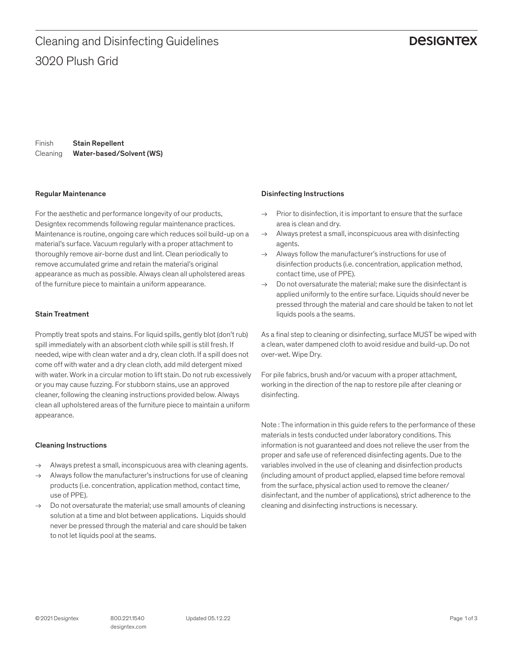## **DESIGNTEX**

Finish Cleaning Stain Repellent Water-based/Solvent (WS)

#### Regular Maintenance

For the aesthetic and performance longevity of our products, Designtex recommends following regular maintenance practices. Maintenance is routine, ongoing care which reduces soil build-up on a material's surface. Vacuum regularly with a proper attachment to thoroughly remove air-borne dust and lint. Clean periodically to remove accumulated grime and retain the material's original appearance as much as possible. Always clean all upholstered areas of the furniture piece to maintain a uniform appearance.

#### Stain Treatment

Promptly treat spots and stains. For liquid spills, gently blot (don't rub) spill immediately with an absorbent cloth while spill is still fresh. If needed, wipe with clean water and a dry, clean cloth. If a spill does not come off with water and a dry clean cloth, add mild detergent mixed with water. Work in a circular motion to lift stain. Do not rub excessively or you may cause fuzzing. For stubborn stains, use an approved cleaner, following the cleaning instructions provided below. Always clean all upholstered areas of the furniture piece to maintain a uniform appearance.

#### Cleaning Instructions

- → Always pretest a small, inconspicuous area with cleaning agents.
- Always follow the manufacturer's instructions for use of cleaning products (i.e. concentration, application method, contact time, use of PPE).
- $\rightarrow$  Do not oversaturate the material; use small amounts of cleaning solution at a time and blot between applications. Liquids should never be pressed through the material and care should be taken to not let liquids pool at the seams.

#### Disinfecting Instructions

- $\rightarrow$  Prior to disinfection, it is important to ensure that the surface area is clean and dry.
- $\rightarrow$  Always pretest a small, inconspicuous area with disinfecting agents.
- $\rightarrow$  Always follow the manufacturer's instructions for use of disinfection products (i.e. concentration, application method, contact time, use of PPE).
- $\rightarrow$  Do not oversaturate the material: make sure the disinfectant is applied uniformly to the entire surface. Liquids should never be pressed through the material and care should be taken to not let liquids pools a the seams.

As a final step to cleaning or disinfecting, surface MUST be wiped with a clean, water dampened cloth to avoid residue and build-up. Do not over-wet. Wipe Dry.

For pile fabrics, brush and/or vacuum with a proper attachment, working in the direction of the nap to restore pile after cleaning or disinfecting.

Note : The information in this guide refers to the performance of these materials in tests conducted under laboratory conditions. This information is not guaranteed and does not relieve the user from the proper and safe use of referenced disinfecting agents. Due to the variables involved in the use of cleaning and disinfection products (including amount of product applied, elapsed time before removal from the surface, physical action used to remove the cleaner/ disinfectant, and the number of applications), strict adherence to the cleaning and disinfecting instructions is necessary.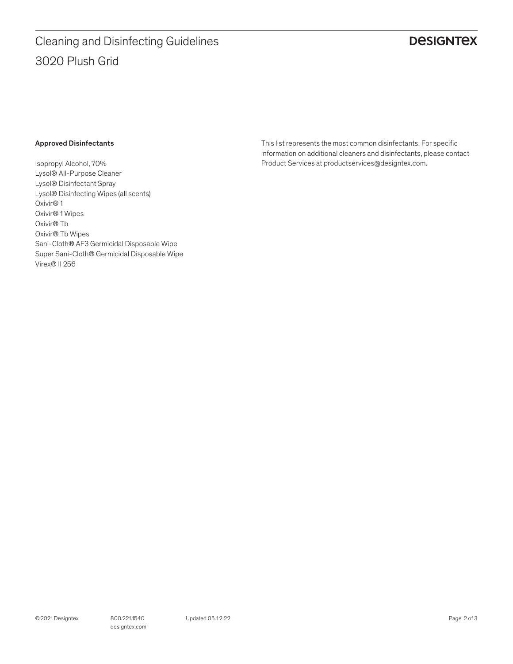# **DESIGNTEX**

#### Approved Disinfectants

Isopropyl Alcohol, 70% Lysol® All-Purpose Cleaner Lysol® Disinfectant Spray Lysol® Disinfecting Wipes (all scents) Oxivir® 1 Oxivir® 1 Wipes Oxivir® Tb Oxivir® Tb Wipes Sani-Cloth® AF3 Germicidal Disposable Wipe Super Sani-Cloth® Germicidal Disposable Wipe Virex® II 256

This list represents the most common disinfectants. For specific information on additional cleaners and disinfectants, please contact Product Services at productservices@designtex.com.